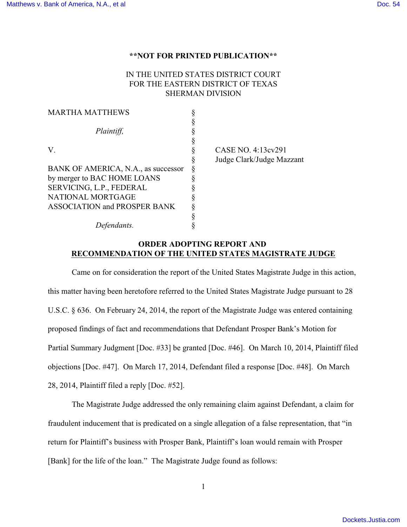## **\*\*NOT FOR PRINTED PUBLICATION\*\***

## IN THE UNITED STATES DISTRICT COURT FOR THE EASTERN DISTRICT OF TEXAS SHERMAN DIVISION

| <b>MARTHA MATTHEWS</b>              |                           |
|-------------------------------------|---------------------------|
|                                     |                           |
| Plaintiff,                          |                           |
|                                     |                           |
| V.                                  | CASE NO. 4:13cv291        |
|                                     | Judge Clark/Judge Mazzant |
| BANK OF AMERICA, N.A., as successor |                           |
| by merger to BAC HOME LOANS         |                           |
| SERVICING, L.P., FEDERAL            |                           |
| NATIONAL MORTGAGE                   |                           |
| <b>ASSOCIATION and PROSPER BANK</b> |                           |
|                                     |                           |
| Defendants.                         |                           |

## **ORDER ADOPTING REPORT AND RECOMMENDATION OF THE UNITED STATES MAGISTRATE JUDGE**

Came on for consideration the report of the United States Magistrate Judge in this action, this matter having been heretofore referred to the United States Magistrate Judge pursuant to 28 U.S.C. § 636. On February 24, 2014, the report of the Magistrate Judge was entered containing proposed findings of fact and recommendations that Defendant Prosper Bank's Motion for Partial Summary Judgment [Doc. #33] be granted [Doc. #46]. On March 10, 2014, Plaintiff filed objections [Doc. #47]. On March 17, 2014, Defendant filed a response [Doc. #48]. On March 28, 2014, Plaintiff filed a reply [Doc. #52].

The Magistrate Judge addressed the only remaining claim against Defendant, a claim for fraudulent inducement that is predicated on a single allegation of a false representation, that "in return for Plaintiff's business with Prosper Bank, Plaintiff's loan would remain with Prosper [Bank] for the life of the loan." The Magistrate Judge found as follows: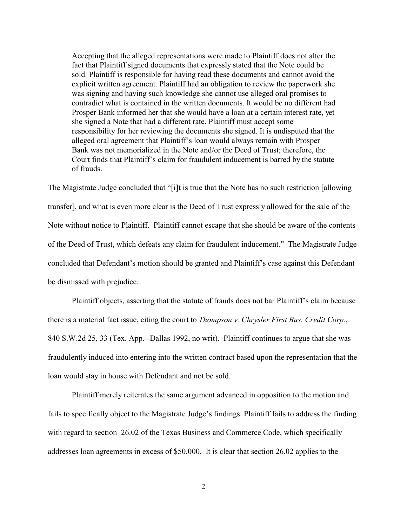Accepting that the alleged representations were made to Plaintiff does not alter the fact that Plaintiff signed documents that expressly stated that the Note could be sold. Plaintiff is responsible for having read these documents and cannot avoid the explicit written agreement. Plaintiff had an obligation to review the paperwork she was signing and having such knowledge she cannot use alleged oral promises to contradict what is contained in the written documents. It would be no different had Prosper Bank informed her that she would have a loan at a certain interest rate, yet she signed a Note that had a different rate. Plaintiff must accept some responsibility for her reviewing the documents she signed. It is undisputed that the alleged oral agreement that Plaintiff's loan would always remain with Prosper Bank was not memorialized in the Note and/or the Deed of Trust; therefore, the Court finds that Plaintiff's claim for fraudulent inducement is barred by the statute of frauds.

The Magistrate Judge concluded that "[i]t is true that the Note has no such restriction [allowing transfer], and what is even more clear is the Deed of Trust expressly allowed for the sale of the Note without notice to Plaintiff. Plaintiff cannot escape that she should be aware of the contents of the Deed of Trust, which defeats any claim for fraudulent inducement." The Magistrate Judge concluded that Defendant's motion should be granted and Plaintiff's case against this Defendant be dismissed with prejudice.

Plaintiff objects, asserting that the statute of frauds does not bar Plaintiff's claim because there is a material fact issue, citing the court to *Thompson v. Chrysler First Bus. Credit Corp.*, 840 S.W.2d 25, 33 (Tex. App.--Dallas 1992, no writ). Plaintiff continues to argue that she was fraudulently induced into entering into the written contract based upon the representation that the loan would stay in house with Defendant and not be sold.

Plaintiff merely reiterates the same argument advanced in opposition to the motion and fails to specifically object to the Magistrate Judge's findings. Plaintiff fails to address the finding with regard to section 26.02 of the Texas Business and Commerce Code, which specifically addresses loan agreements in excess of \$50,000. It is clear that section 26.02 applies to the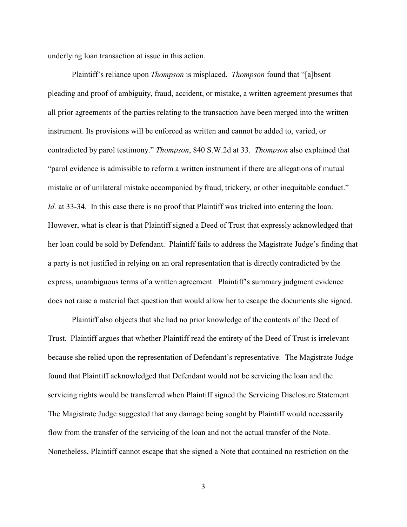underlying loan transaction at issue in this action.

Plaintiff's reliance upon *Thompson* is misplaced. *Thompson* found that "[a]bsent pleading and proof of ambiguity, fraud, accident, or mistake, a written agreement presumes that all prior agreements of the parties relating to the transaction have been merged into the written instrument. Its provisions will be enforced as written and cannot be added to, varied, or contradicted by parol testimony." *Thompson*, 840 S.W.2d at 33. *Thompson* also explained that "parol evidence is admissible to reform a written instrument if there are allegations of mutual mistake or of unilateral mistake accompanied by fraud, trickery, or other inequitable conduct." *Id.* at 33-34. In this case there is no proof that Plaintiff was tricked into entering the loan. However, what is clear is that Plaintiff signed a Deed of Trust that expressly acknowledged that her loan could be sold by Defendant. Plaintiff fails to address the Magistrate Judge's finding that a party is not justified in relying on an oral representation that is directly contradicted by the express, unambiguous terms of a written agreement. Plaintiff's summary judgment evidence does not raise a material fact question that would allow her to escape the documents she signed.

Plaintiff also objects that she had no prior knowledge of the contents of the Deed of Trust. Plaintiff argues that whether Plaintiff read the entirety of the Deed of Trust is irrelevant because she relied upon the representation of Defendant's representative. The Magistrate Judge found that Plaintiff acknowledged that Defendant would not be servicing the loan and the servicing rights would be transferred when Plaintiff signed the Servicing Disclosure Statement. The Magistrate Judge suggested that any damage being sought by Plaintiff would necessarily flow from the transfer of the servicing of the loan and not the actual transfer of the Note. Nonetheless, Plaintiff cannot escape that she signed a Note that contained no restriction on the